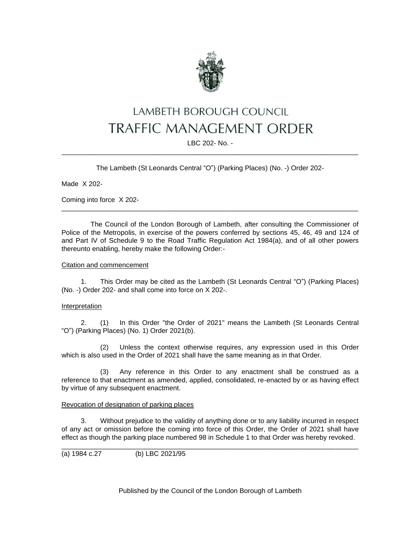

# LAMBETH BOROUGH COUNCIL **TRAFFIC MANAGEMENT ORDER**

LBC 202- No. - \_\_\_\_\_\_\_\_\_\_\_\_\_\_\_\_\_\_\_\_\_\_\_\_\_\_\_\_\_\_\_\_\_\_\_\_\_\_\_\_\_\_\_\_\_\_\_\_\_\_\_\_\_\_\_\_\_\_\_\_\_\_\_\_\_\_\_\_\_\_\_\_\_\_\_\_\_\_

The Lambeth (St Leonards Central "O") (Parking Places) (No. -) Order 202-

Made X 202-

Coming into force X 202-

The Council of the London Borough of Lambeth, after consulting the Commissioner of Police of the Metropolis, in exercise of the powers conferred by sections 45, 46, 49 and 124 of and Part IV of Schedule 9 to the Road Traffic Regulation Act 1984(a), and of all other powers thereunto enabling, hereby make the following Order:-

\_\_\_\_\_\_\_\_\_\_\_\_\_\_\_\_\_\_\_\_\_\_\_\_\_\_\_\_\_\_\_\_\_\_\_\_\_\_\_\_\_\_\_\_\_\_\_\_\_\_\_\_\_\_\_\_\_\_\_\_\_\_\_\_\_\_\_\_\_\_\_\_\_\_\_\_\_\_

#### Citation and commencement

1. This Order may be cited as the Lambeth (St Leonards Central "O") (Parking Places) (No. -) Order 202- and shall come into force on X 202-.

#### Interpretation

2. (1) In this Order "the Order of 2021" means the Lambeth (St Leonards Central "O") (Parking Places) (No. 1) Order 2021(b).

(2) Unless the context otherwise requires, any expression used in this Order which is also used in the Order of 2021 shall have the same meaning as in that Order.

(3) Any reference in this Order to any enactment shall be construed as a reference to that enactment as amended, applied, consolidated, re-enacted by or as having effect by virtue of any subsequent enactment.

#### Revocation of designation of parking places

3. Without prejudice to the validity of anything done or to any liability incurred in respect of any act or omission before the coming into force of this Order, the Order of 2021 shall have effect as though the parking place numbered 98 in Schedule 1 to that Order was hereby revoked.

\_\_\_\_\_\_\_\_\_\_\_\_\_\_\_\_\_\_\_\_\_\_\_\_\_\_\_\_\_\_\_\_\_\_\_\_\_\_\_\_\_\_\_\_\_\_\_\_\_\_\_\_\_\_\_\_\_\_\_\_\_\_\_\_\_\_\_\_\_\_\_\_\_\_\_\_\_\_

(a) 1984 c.27 (b) LBC 2021/95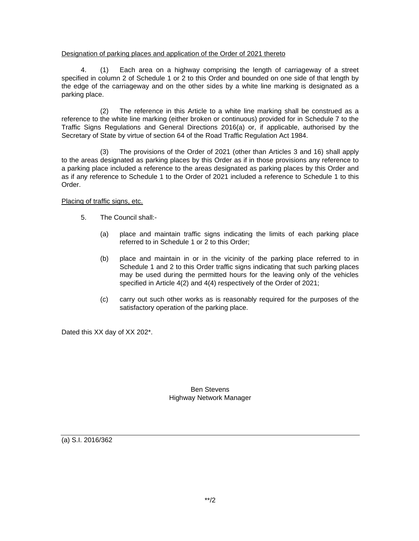### Designation of parking places and application of the Order of 2021 thereto

4. (1) Each area on a highway comprising the length of carriageway of a street specified in column 2 of Schedule 1 or 2 to this Order and bounded on one side of that length by the edge of the carriageway and on the other sides by a white line marking is designated as a parking place.

(2) The reference in this Article to a white line marking shall be construed as a reference to the white line marking (either broken or continuous) provided for in Schedule 7 to the Traffic Signs Regulations and General Directions 2016(a) or, if applicable, authorised by the Secretary of State by virtue of section 64 of the Road Traffic Regulation Act 1984.

(3) The provisions of the Order of 2021 (other than Articles 3 and 16) shall apply to the areas designated as parking places by this Order as if in those provisions any reference to a parking place included a reference to the areas designated as parking places by this Order and as if any reference to Schedule 1 to the Order of 2021 included a reference to Schedule 1 to this Order.

## Placing of traffic signs, etc.

- 5. The Council shall:-
	- (a) place and maintain traffic signs indicating the limits of each parking place referred to in Schedule 1 or 2 to this Order;
	- (b) place and maintain in or in the vicinity of the parking place referred to in Schedule 1 and 2 to this Order traffic signs indicating that such parking places may be used during the permitted hours for the leaving only of the vehicles specified in Article 4(2) and 4(4) respectively of the Order of 2021;
	- (c) carry out such other works as is reasonably required for the purposes of the satisfactory operation of the parking place.

Dated this XX day of XX 202\*.

Ben Stevens Highway Network Manager

(a) S.I. 2016/362